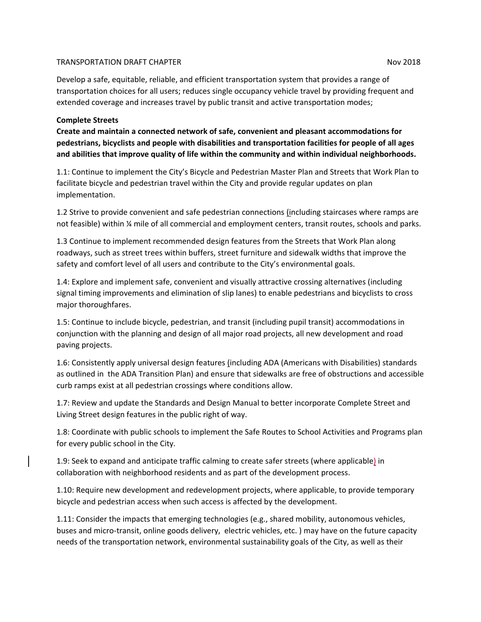#### TRANSPORTATION DRAFT CHAPTER NOV 2018

Develop a safe, equitable, reliable, and efficient transportation system that provides a range of transportation choices for all users; reduces single occupancy vehicle travel by providing frequent and extended coverage and increases travel by public transit and active transportation modes;

#### **Complete Streets**

**Create and maintain a connected network of safe, convenient and pleasant accommodations for pedestrians, bicyclists and people with disabilities and transportation facilities for people of all ages and abilities that improve quality of life within the community and within individual neighborhoods.**

1.1: Continue to implement the City's Bicycle and Pedestrian Master Plan and Streets that Work Plan to facilitate bicycle and pedestrian travel within the City and provide regular updates on plan implementation.

1.2 Strive to provide convenient and safe pedestrian connections (including staircases where ramps are not feasible) within ¼ mile of all commercial and employment centers, transit routes, schools and parks.

1.3 Continue to implement recommended design features from the Streets that Work Plan along roadways, such as street trees within buffers, street furniture and sidewalk widths that improve the safety and comfort level of all users and contribute to the City's environmental goals.

1.4: Explore and implement safe, convenient and visually attractive crossing alternatives (including signal timing improvements and elimination of slip lanes) to enable pedestrians and bicyclists to cross major thoroughfares.

1.5: Continue to include bicycle, pedestrian, and transit (including pupil transit) accommodations in conjunction with the planning and design of all major road projects, all new development and road paving projects.

1.6: Consistently apply universal design features (including ADA (Americans with Disabilities) standards as outlined in the ADA Transition Plan) and ensure that sidewalks are free of obstructions and accessible curb ramps exist at all pedestrian crossings where conditions allow.

1.7: Review and update the Standards and Design Manual to better incorporate Complete Street and Living Street design features in the public right of way.

1.8: Coordinate with public schools to implement the Safe Routes to School Activities and Programs plan for every public school in the City.

1.9: Seek to expand and anticipate traffic calming to create safer streets (where applicable) in collaboration with neighborhood residents and as part of the development process.

1.10: Require new development and redevelopment projects, where applicable, to provide temporary bicycle and pedestrian access when such access is affected by the development.

1.11: Consider the impacts that emerging technologies (e.g., shared mobility, autonomous vehicles, buses and micro-transit, online goods delivery, electric vehicles, etc. ) may have on the future capacity needs of the transportation network, environmental sustainability goals of the City, as well as their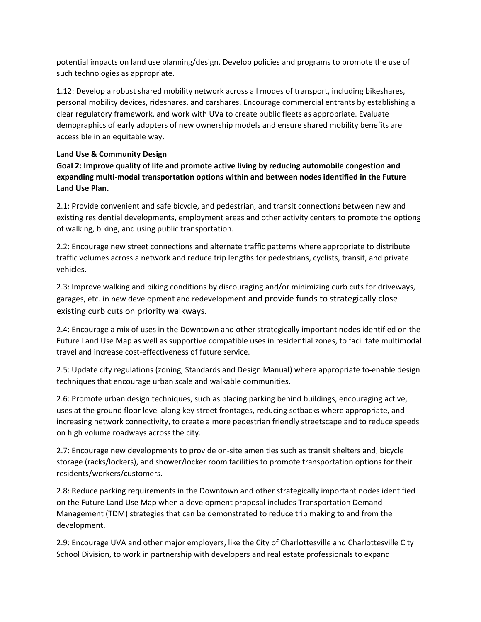potential impacts on land use planning/design. Develop policies and programs to promote the use of such technologies as appropriate.

1.12: Develop a robust shared mobility network across all modes of transport, including bikeshares, personal mobility devices, rideshares, and carshares. Encourage commercial entrants by establishing a clear regulatory framework, and work with UVa to create public fleets as appropriate. Evaluate demographics of early adopters of new ownership models and ensure shared mobility benefits are accessible in an equitable way.

### **Land Use & Community Design**

**Goal 2: Improve quality of life and promote active living by reducing automobile congestion and expanding multi-modal transportation options within and between nodes identified in the Future Land Use Plan.**

2.1: Provide convenient and safe bicycle, and pedestrian, and transit connections between new and existing residential developments, employment areas and other activity centers to promote the options of walking, biking, and using public transportation.

2.2: Encourage new street connections and alternate traffic patterns where appropriate to distribute traffic volumes across a network and reduce trip lengths for pedestrians, cyclists, transit, and private vehicles.

2.3: Improve walking and biking conditions by discouraging and/or minimizing curb cuts for driveways, garages, etc. in new development and redevelopment and provide funds to strategically close existing curb cuts on priority walkways.

2.4: Encourage a mix of uses in the Downtown and other strategically important nodes identified on the Future Land Use Map as well as supportive compatible uses in residential zones, to facilitate multimodal travel and increase cost-effectiveness of future service.

2.5: Update city regulations (zoning, Standards and Design Manual) where appropriate to enable design techniques that encourage urban scale and walkable communities.

2.6: Promote urban design techniques, such as placing parking behind buildings, encouraging active, uses at the ground floor level along key street frontages, reducing setbacks where appropriate, and increasing network connectivity, to create a more pedestrian friendly streetscape and to reduce speeds on high volume roadways across the city.

2.7: Encourage new developments to provide on-site amenities such as transit shelters and, bicycle storage (racks/lockers), and shower/locker room facilities to promote transportation options for their residents/workers/customers.

2.8: Reduce parking requirements in the Downtown and other strategically important nodes identified on the Future Land Use Map when a development proposal includes Transportation Demand Management (TDM) strategies that can be demonstrated to reduce trip making to and from the development.

2.9: Encourage UVA and other major employers, like the City of Charlottesville and Charlottesville City School Division, to work in partnership with developers and real estate professionals to expand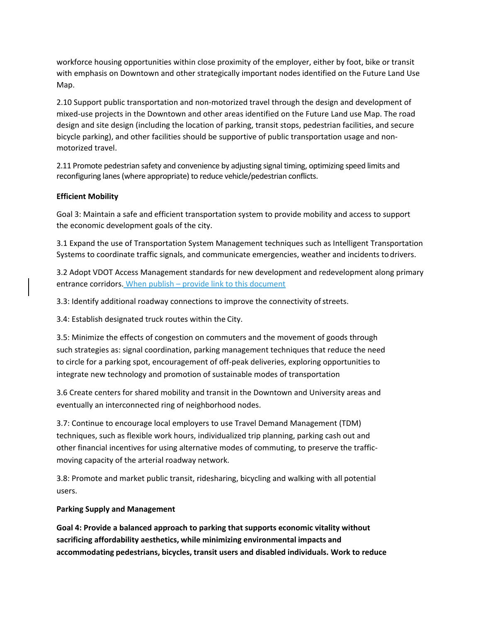workforce housing opportunities within close proximity of the employer, either by foot, bike or transit with emphasis on Downtown and other strategically important nodes identified on the Future Land Use Map.

2.10 Support public transportation and non-motorized travel through the design and development of mixed-use projects in the Downtown and other areas identified on the Future Land use Map. The road design and site design (including the location of parking, transit stops, pedestrian facilities, and secure bicycle parking), and other facilities should be supportive of public transportation usage and nonmotorized travel.

2.11 Promote pedestrian safety and convenience by adjusting signal timing, optimizing speed limits and reconfiguring lanes (where appropriate) to reduce vehicle/pedestrian conflicts.

## **Efficient Mobility**

Goal 3: Maintain a safe and efficient transportation system to provide mobility and access to support the economic development goals of the city.

3.1 Expand the use of Transportation System Management techniques such as Intelligent Transportation Systems to coordinate traffic signals, and communicate emergencies, weather and incidents todrivers.

3.2 Adopt VDOT Access Management standards for new development and redevelopment along primary entrance corridors. When publish – provide link to this document

3.3: Identify additional roadway connections to improve the connectivity of streets.

3.4: Establish designated truck routes within the City.

3.5: Minimize the effects of congestion on commuters and the movement of goods through such strategies as: signal coordination, parking management techniques that reduce the need to circle for a parking spot, encouragement of off-peak deliveries, exploring opportunities to integrate new technology and promotion of sustainable modes of transportation

3.6 Create centers for shared mobility and transit in the Downtown and University areas and eventually an interconnected ring of neighborhood nodes.

3.7: Continue to encourage local employers to use Travel Demand Management (TDM) techniques, such as flexible work hours, individualized trip planning, parking cash out and other financial incentives for using alternative modes of commuting, to preserve the trafficmoving capacity of the arterial roadway network.

3.8: Promote and market public transit, ridesharing, bicycling and walking with all potential users.

#### **Parking Supply and Management**

**Goal 4: Provide a balanced approach to parking that supports economic vitality without sacrificing affordability aesthetics, while minimizing environmental impacts and accommodating pedestrians, bicycles, transit users and disabled individuals. Work to reduce**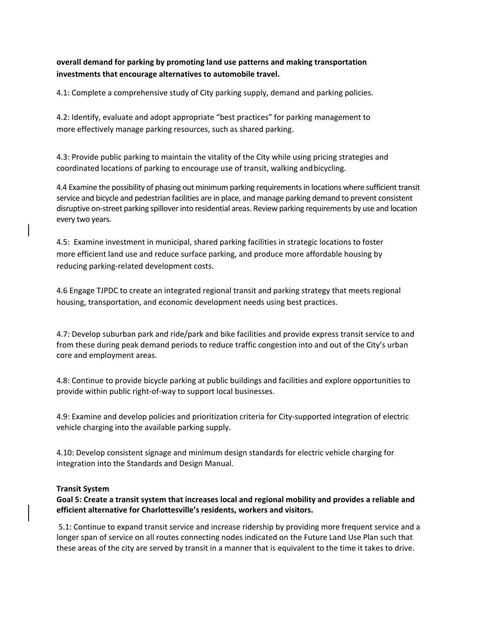# **overall demand for parking by promoting land use patterns and making transportation investments that encourage alternatives to automobile travel.**

4.1: Complete a comprehensive study of City parking supply, demand and parking policies.

4.2: Identify, evaluate and adopt appropriate "best practices" for parking management to more effectively manage parking resources, such as shared parking.

4.3: Provide public parking to maintain the vitality of the City while using pricing strategies and coordinated locations of parking to encourage use of transit, walking andbicycling.

4.4 Examine the possibility of phasing out minimum parking requirements in locations where sufficient transit service and bicycle and pedestrian facilities are in place, and manage parking demand to prevent consistent disruptive on-street parking spillover into residential areas. Review parking requirements by use and location every two years.

4.5: Examine investment in municipal, shared parking facilities in strategic locations to foster more efficient land use and reduce surface parking, and produce more affordable housing by reducing parking-related development costs.

4.6 Engage TJPDC to create an integrated regional transit and parking strategy that meets regional housing, transportation, and economic development needs using best practices.

4.7: Develop suburban park and ride/park and bike facilities and provide express transit service to and from these during peak demand periods to reduce traffic congestion into and out of the City's urban core and employment areas.

4.8: Continue to provide bicycle parking at public buildings and facilities and explore opportunities to provide within public right-of-way to support local businesses.

4.9: Examine and develop policies and prioritization criteria for City-supported integration of electric vehicle charging into the available parking supply.

4.10: Develop consistent signage and minimum design standards for electric vehicle charging for integration into the Standards and Design Manual.

#### **Transit System**

**Goal 5: Create a transit system that increases local and regional mobility and provides a reliable and efficient alternative for Charlottesville's residents, workers and visitors.** 

5.1: Continue to expand transit service and increase ridership by providing more frequent service and a longer span of service on all routes connecting nodes indicated on the Future Land Use Plan such that these areas of the city are served by transit in a manner that is equivalent to the time it takes to drive.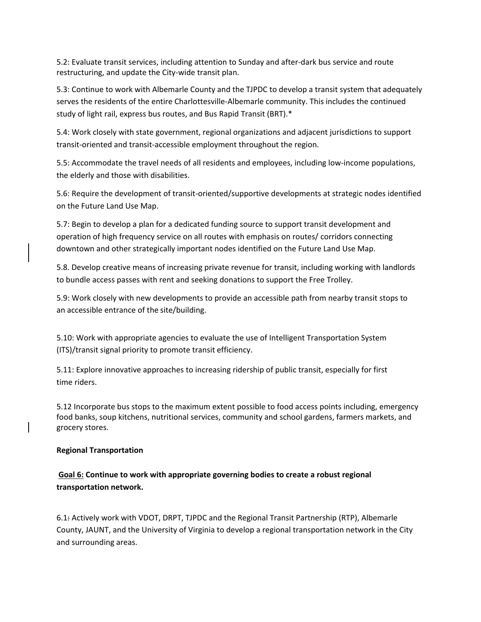5.2: Evaluate transit services, including attention to Sunday and after-dark bus service and route restructuring, and update the City-wide transit plan.

5.3: Continue to work with Albemarle County and the TJPDC to develop a transit system that adequately serves the residents of the entire Charlottesville-Albemarle community. This includes the continued study of light rail, express bus routes, and Bus Rapid Transit (BRT).\*

5.4: Work closely with state government, regional organizations and adjacent jurisdictions to support transit-oriented and transit-accessible employment throughout the region.

5.5: Accommodate the travel needs of all residents and employees, including low-income populations, the elderly and those with disabilities.

5.6: Require the development of transit-oriented/supportive developments at strategic nodes identified on the Future Land Use Map.

5.7: Begin to develop a plan for a dedicated funding source to support transit development and operation of high frequency service on all routes with emphasis on routes/ corridors connecting downtown and other strategically important nodes identified on the Future Land Use Map.

5.8. Develop creative means of increasing private revenue for transit, including working with landlords to bundle access passes with rent and seeking donations to support the Free Trolley.

5.9: Work closely with new developments to provide an accessible path from nearby transit stops to an accessible entrance of the site/building.

5.10: Work with appropriate agencies to evaluate the use of Intelligent Transportation System (ITS)/transit signal priority to promote transit efficiency.

5.11: Explore innovative approaches to increasing ridership of public transit, especially for first time riders.

5.12 Incorporate bus stops to the maximum extent possible to food access points including, emergency food banks, soup kitchens, nutritional services, community and school gardens, farmers markets, and grocery stores.

#### **Regional Transportation**

# **Goal 6: Continue to work with appropriate governing bodies to create a robust regional transportation network.**

6.1: Actively work with VDOT, DRPT, TJPDC and the Regional Transit Partnership (RTP), Albemarle County, JAUNT, and the University of Virginia to develop a regional transportation network in the City and surrounding areas.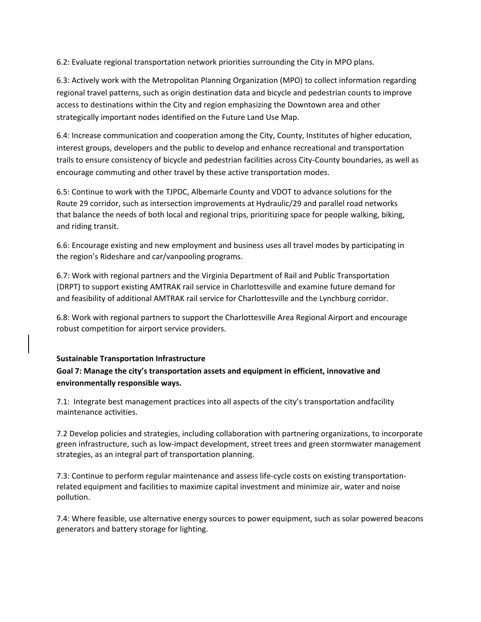6.2: Evaluate regional transportation network priorities surrounding the City in MPO plans.

6.3: Actively work with the Metropolitan Planning Organization (MPO) to collect information regarding regional travel patterns, such as origin destination data and bicycle and pedestrian counts to improve access to destinations within the City and region emphasizing the Downtown area and other strategically important nodes identified on the Future Land Use Map.

6.4: Increase communication and cooperation among the City, County, Institutes of higher education, interest groups, developers and the public to develop and enhance recreational and transportation trails to ensure consistency of bicycle and pedestrian facilities across City-County boundaries, as well as encourage commuting and other travel by these active transportation modes.

6.5: Continue to work with the TJPDC, Albemarle County and VDOT to advance solutions for the Route 29 corridor, such as intersection improvements at Hydraulic/29 and parallel road networks that balance the needs of both local and regional trips, prioritizing space for people walking, biking, and riding transit.

6.6: Encourage existing and new employment and business uses all travel modes by participating in the region's Rideshare and car/vanpooling programs.

6.7: Work with regional partners and the Virginia Department of Rail and Public Transportation (DRPT) to support existing AMTRAK rail service in Charlottesville and examine future demand for and feasibility of additional AMTRAK rail service for Charlottesville and the Lynchburg corridor.

6.8: Work with regional partners to support the Charlottesville Area Regional Airport and encourage robust competition for airport service providers.

#### **Sustainable Transportation Infrastructure**

# **Goal 7: Manage the city's transportation assets and equipment in efficient, innovative and environmentally responsible ways.**

7.1: Integrate best management practices into all aspects of the city's transportation andfacility maintenance activities.

7.2 Develop policies and strategies, including collaboration with partnering organizations, to incorporate green infrastructure, such as low-impact development, street trees and green stormwater management strategies, as an integral part of transportation planning.

7.3: Continue to perform regular maintenance and assess life-cycle costs on existing transportationrelated equipment and facilities to maximize capital investment and minimize air, water and noise pollution.

7.4: Where feasible, use alternative energy sources to power equipment, such as solar powered beacons generators and battery storage for lighting.